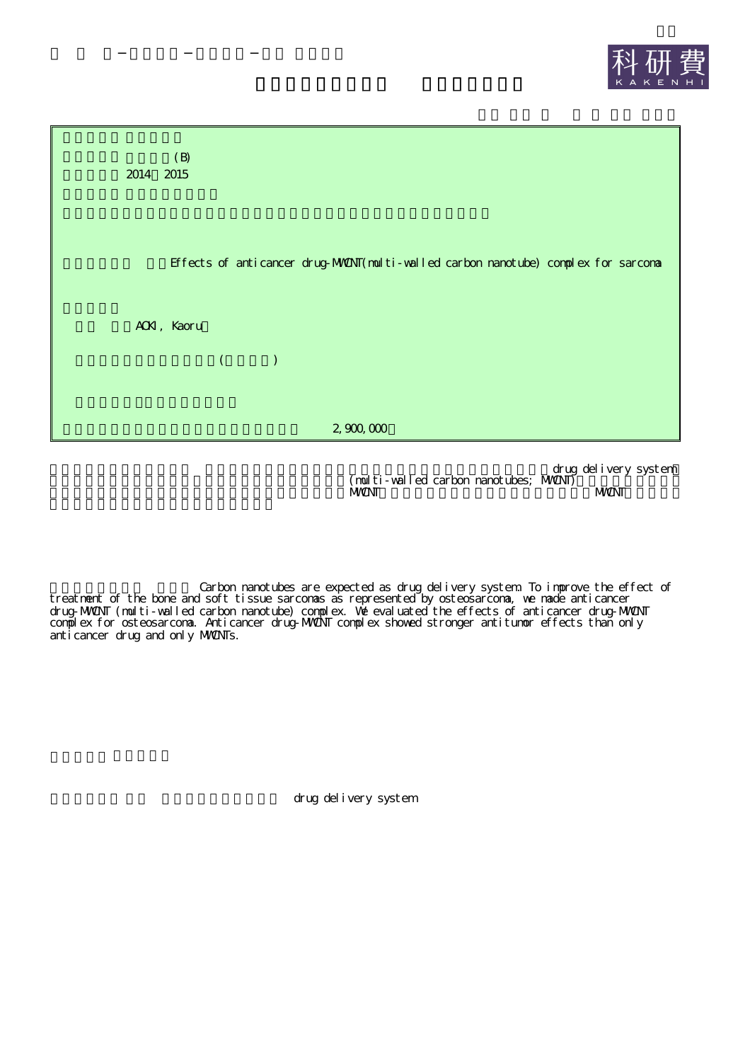



drug delivery system  $(\text{null} \text{ti}-\text{val} \text{led } \text{carbon} \text{mnotubes}; \text{MNN}$ MWANT MWANT NEWSFILM AND MANUSCRIPT OF THE MANUSCRIPT OF THE MANUSCRIPT OF THE MANUSCRIPT OF THE MANUSCRIPT OF THE MANUSCRIPT OF THE MANUSCRIPT OF THE MANUSCRIPT OF THE MANUSCRIPT OF THE MANUSCRIPT OF THE MANUSCRIPT OF THE

Carbon nanotubes are expected as drug delivery system. To improve the effect of treatment of the bone and soft tissue sarcomas as represented by osteosarcoma, we made anticancer drug-MWCNT (multi-walled carbon nanotube) complex. We evaluated the effects of anticancer drug-MWCNT complex for osteosarcoma. Anticancer drug-MWCNT complex showed stronger antitumor effects than only anticancer drug and only MWCNTs.

drug delivery system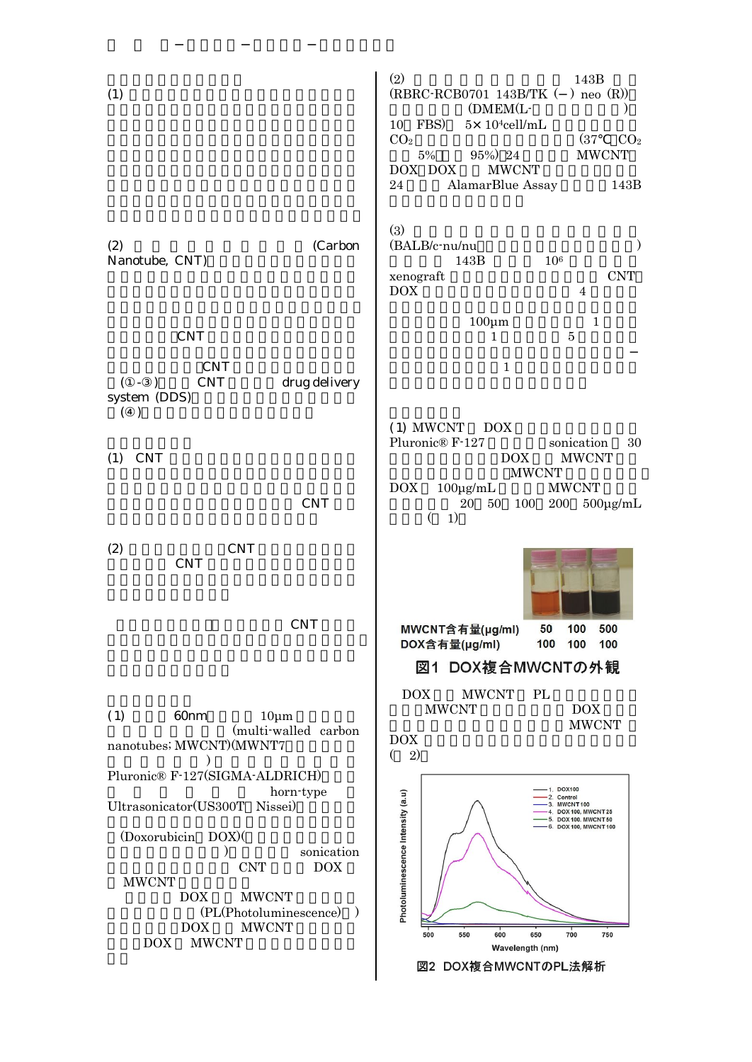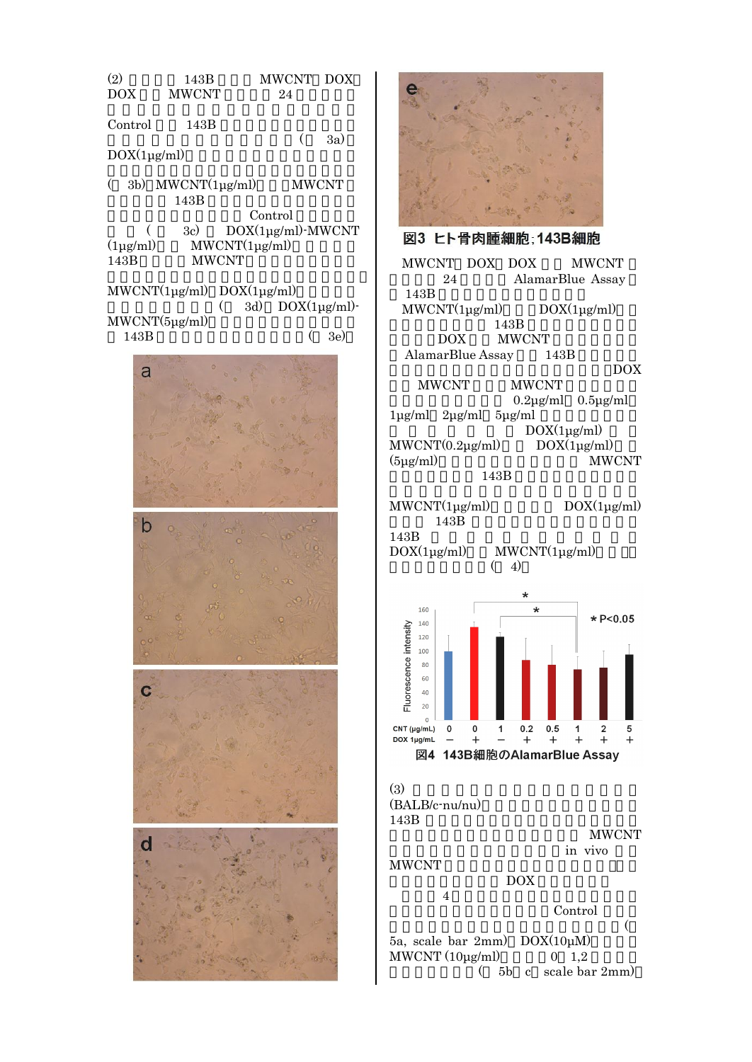![](_page_2_Picture_0.jpeg)

![](_page_2_Picture_1.jpeg)

24 AlamarBlue Assay 143B  $MWCNT(1\mu g/ml)$   $DOX(1\mu g/ml)$ 143B DOX MWCNT AlamarBlue Assay 143B DOX MWCNT MWCNT 0.2μg/ml 0.5μg/ml 1μg/ml 2μg/ml 5μg/ml  $DOX(1\mu g/ml)$  $MWCNT(0.2\mu g/ml)$   $DOX(1\mu g/ml)$ (5μg/ml) MWCNT 143B MWCNT(1μg/ml) DOX(1μg/ml)

143B 143B DOX(1μg/ml) MWCNT(1μg/ml)

 $(4)$ 

![](_page_2_Figure_5.jpeg)

DOX

4

Control

( 5a, scale bar 2mm) DOX(10μM) MWCNT  $(10\mu\text{g/ml})$  0 1,2 ( 5b c scale bar 2mm)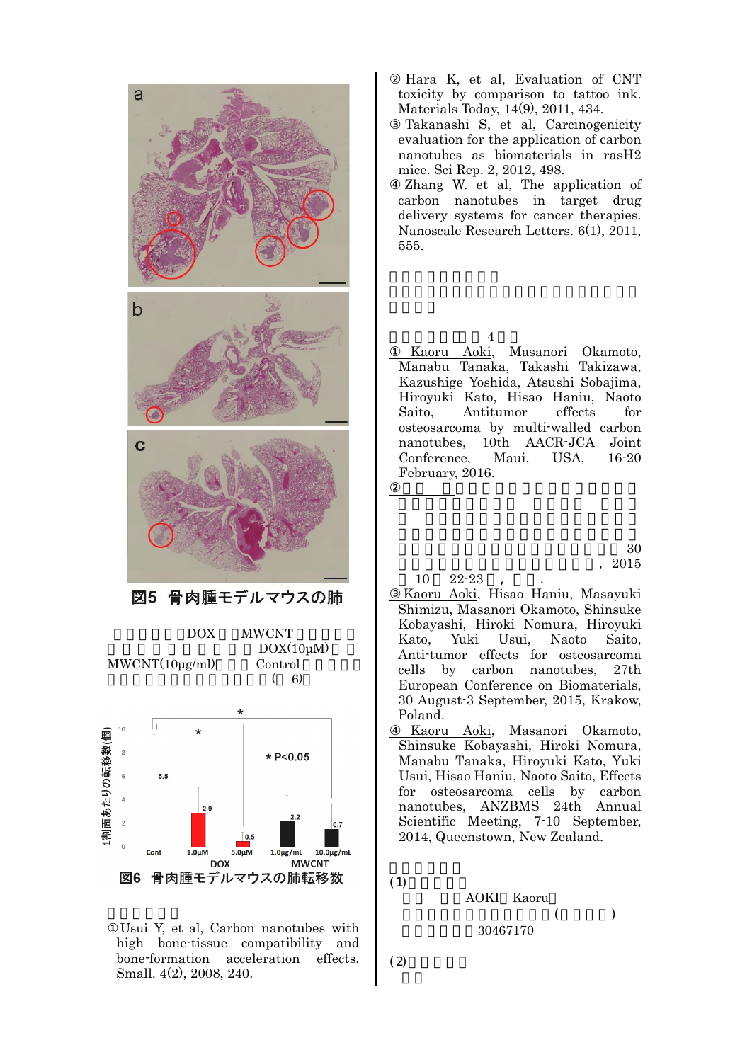![](_page_3_Figure_0.jpeg)

DOX(10μM) MWCNT(10μg/ml) Control  $(6)$  $10$ 

![](_page_3_Figure_2.jpeg)

Usui Y, et al, Carbon nanotubes with high bone-tissue compatibility and bone-formation acceleration effects. Small. 4(2), 2008, 240.

Hara K, et al, Evaluation of CNT toxicity by comparison to tattoo ink. Materials Today, 14(9), 2011, 434.

Takanashi S, et al, Carcinogenicity evaluation for the application of carbon nanotubes as biomaterials in rasH2 mice. Sci Rep. 2, 2012, 498.

Zhang W. et al, The application of carbon nanotubes in target drug delivery systems for cancer therapies. Nanoscale Research Letters. 6(1), 2011, 555.

4 Kaoru Aoki, Masanori Okamoto, Manabu Tanaka, Takashi Takizawa, Kazushige Yoshida, Atsushi Sobajima, Hiroyuki Kato, Hisao Haniu, Naoto Saito, Antitumor effects for osteosarcoma by multi-walled carbon nanotubes, 10th AACR-JCA Joint Conference, Maui, USA, 16-20 February, 2016.

> 30 , 2015

 $10 \quad 22 - 23$ 

- Kaoru Aoki, Hisao Haniu, Masayuki Shimizu, Masanori Okamoto, Shinsuke Kobayashi, Hiroki Nomura, Hiroyuki Kato, Yuki Usui, Naoto Saito, Anti-tumor effects for osteosarcoma cells by carbon nanotubes, 27th European Conference on Biomaterials, 30 August-3 September, 2015, Krakow, Poland.
- Kaoru Aoki, Masanori Okamoto, Shinsuke Kobayashi, Hiroki Nomura, Manabu Tanaka, Hiroyuki Kato, Yuki Usui, Hisao Haniu, Naoto Saito, Effects for osteosarcoma cells by carbon nanotubes, ANZBMS 24th Annual Scientific Meeting, 7-10 September, 2014, Queenstown, New Zealand.

AOKI Kaoru  $($  ) 30467170

 $(2)$ 

<sup>(1)</sup>